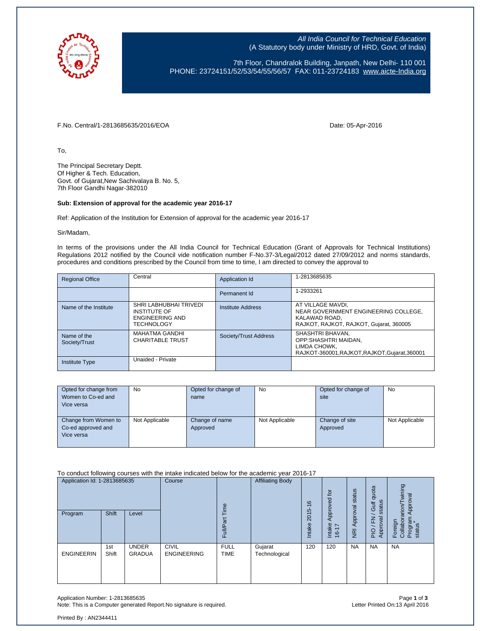

All India Council for Technical Education (A Statutory body under Ministry of HRD, Govt. of India)

7th Floor, Chandralok Building, Janpath, New Delhi- 110 001 PHONE: 23724151/52/53/54/55/56/57 FAX: 011-23724183 [www.aicte-India.org](http://www.aicte-india.org/)

F.No. Central/1-2813685635/2016/EOA Date: 05-Apr-2016

To,

The Principal Secretary Deptt. Of Higher & Tech. Education, Govt. of Gujarat,New Sachivalaya B. No. 5, 7th Floor Gandhi Nagar-382010

#### **Sub: Extension of approval for the academic year 2016-17**

Ref: Application of the Institution for Extension of approval for the academic year 2016-17

Sir/Madam,

In terms of the provisions under the All India Council for Technical Education (Grant of Approvals for Technical Institutions) Regulations 2012 notified by the Council vide notification number F-No.37-3/Legal/2012 dated 27/09/2012 and norms standards, procedures and conditions prescribed by the Council from time to time, I am directed to convey the approval to

| <b>Regional Office</b>       | Central                                                                                      | Application Id        | 1-2813685635                                                                                                          |
|------------------------------|----------------------------------------------------------------------------------------------|-----------------------|-----------------------------------------------------------------------------------------------------------------------|
|                              |                                                                                              | Permanent Id          | 1-2933261                                                                                                             |
| Name of the Institute        | SHRI LABHUBHAI TRIVEDI<br><b>INSTITUTE OF</b><br><b>ENGINEERING AND</b><br><b>TECHNOLOGY</b> | Institute Address     | AT VILLAGE MAVDI.<br>NEAR GOVERNMENT ENGINEERING COLLEGE,<br>KALAWAD ROAD.<br>RAJKOT, RAJKOT, RAJKOT, Gujarat, 360005 |
| Name of the<br>Society/Trust | <b>MAHATMA GANDHI</b><br><b>CHARITABLE TRUST</b>                                             | Society/Trust Address | SHASHTRI BHAVAN,<br>OPP:SHASHTRI MAIDAN.<br>LIMDA CHOWK.<br>RAJKOT-360001, RAJKOT, RAJKOT, Gujarat, 360001            |
| <b>Institute Type</b>        | Unaided - Private                                                                            |                       |                                                                                                                       |

| Opted for change from | <b>No</b>      | Opted for change of | <b>No</b>      | Opted for change of | <b>No</b>      |
|-----------------------|----------------|---------------------|----------------|---------------------|----------------|
| Women to Co-ed and    |                | name                |                | site                |                |
| Vice versa            |                |                     |                |                     |                |
|                       |                |                     |                |                     |                |
| Change from Women to  | Not Applicable | Change of name      | Not Applicable | Change of site      | Not Applicable |
| Co-ed approved and    |                | Approved            |                | Approved            |                |
| Vice versa            |                |                     |                |                     |                |
|                       |                |                     |                |                     |                |

To conduct following courses with the intake indicated below for the academic year 2016-17

| Application Id: 1-2813685635 |              | Course<br>jme                 | <b>Affiliating Body</b>            | 9                          | Approved for             | status         | quota<br>status<br>Gulf                   | wining<br>Approval                  |                                               |                                                  |
|------------------------------|--------------|-------------------------------|------------------------------------|----------------------------|--------------------------|----------------|-------------------------------------------|-------------------------------------|-----------------------------------------------|--------------------------------------------------|
| Program                      | <b>Shift</b> | Level                         |                                    | Full/Part                  |                          | 2015<br>Intake | Intake<br>$\overline{1}$<br>$\frac{6}{5}$ | Approval<br>$\overline{\mathsf{E}}$ | yal<br>준<br>ō<br><b>Appl</b><br>$\frac{1}{2}$ | Foreign<br>Collaborarion/Tv<br>Program<br>status |
| <b>ENGINEERIN</b>            | 1st<br>Shift | <b>UNDER</b><br><b>GRADUA</b> | <b>CIVIL</b><br><b>ENGINEERING</b> | <b>FULL</b><br><b>TIME</b> | Gujarat<br>Technological | 120            | 120                                       | <b>NA</b>                           | <b>NA</b>                                     | <b>NA</b>                                        |

Application Number: 1-2813685635 Page **1** of **3** Note: This is a Computer generated Report. No signature is required.

Printed By : AN2344411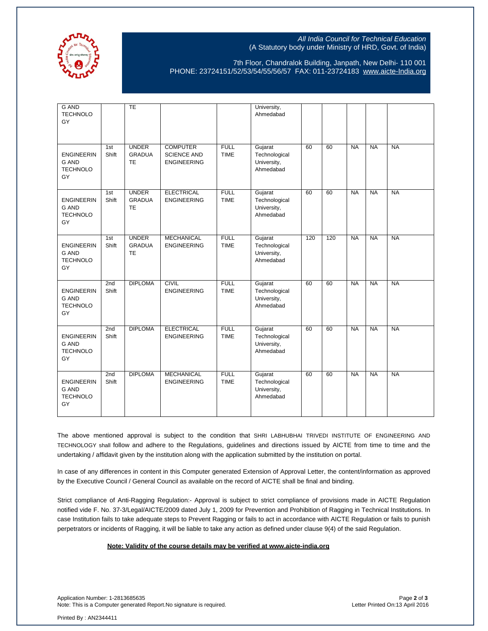

## All India Council for Technical Education (A Statutory body under Ministry of HRD, Govt. of India)

7th Floor, Chandralok Building, Janpath, New Delhi- 110 001 PHONE: 23724151/52/53/54/55/56/57 FAX: 011-23724183 [www.aicte-India.org](http://www.aicte-india.org/)

| <b>G AND</b><br><b>TECHNOLO</b><br>GY                      |              | <b>TE</b>                                  |                                                             |                            | University,<br>Ahmedabad                             |     |     |           |           |           |
|------------------------------------------------------------|--------------|--------------------------------------------|-------------------------------------------------------------|----------------------------|------------------------------------------------------|-----|-----|-----------|-----------|-----------|
| <b>ENGINEERIN</b><br><b>G AND</b><br><b>TECHNOLO</b><br>GY | 1st<br>Shift | <b>UNDER</b><br><b>GRADUA</b><br><b>TE</b> | <b>COMPUTER</b><br><b>SCIENCE AND</b><br><b>ENGINEERING</b> | <b>FULL</b><br><b>TIME</b> | Gujarat<br>Technological<br>University,<br>Ahmedabad | 60  | 60  | <b>NA</b> | <b>NA</b> | <b>NA</b> |
| <b>ENGINEERIN</b><br><b>G AND</b><br><b>TECHNOLO</b><br>GY | 1st<br>Shift | <b>UNDER</b><br><b>GRADUA</b><br><b>TE</b> | <b>ELECTRICAL</b><br><b>ENGINEERING</b>                     | <b>FULL</b><br><b>TIME</b> | Gujarat<br>Technological<br>University,<br>Ahmedabad | 60  | 60  | <b>NA</b> | <b>NA</b> | <b>NA</b> |
| <b>ENGINEERIN</b><br><b>G AND</b><br><b>TECHNOLO</b><br>GY | 1st<br>Shift | <b>UNDER</b><br><b>GRADUA</b><br><b>TE</b> | <b>MECHANICAL</b><br><b>ENGINEERING</b>                     | <b>FULL</b><br><b>TIME</b> | Gujarat<br>Technological<br>University,<br>Ahmedabad | 120 | 120 | <b>NA</b> | <b>NA</b> | <b>NA</b> |
| <b>ENGINEERIN</b><br><b>G AND</b><br><b>TECHNOLO</b><br>GY | 2nd<br>Shift | <b>DIPLOMA</b>                             | <b>CIVIL</b><br><b>ENGINEERING</b>                          | <b>FULL</b><br><b>TIME</b> | Gujarat<br>Technological<br>University,<br>Ahmedabad | 60  | 60  | <b>NA</b> | <b>NA</b> | <b>NA</b> |
| <b>ENGINEERIN</b><br><b>G AND</b><br><b>TECHNOLO</b><br>GY | 2nd<br>Shift | <b>DIPLOMA</b>                             | <b>ELECTRICAL</b><br><b>ENGINEERING</b>                     | <b>FULL</b><br><b>TIME</b> | Gujarat<br>Technological<br>University,<br>Ahmedabad | 60  | 60  | <b>NA</b> | <b>NA</b> | <b>NA</b> |
| <b>ENGINEERIN</b><br><b>G AND</b><br><b>TECHNOLO</b><br>GY | 2nd<br>Shift | <b>DIPLOMA</b>                             | <b>MECHANICAL</b><br><b>ENGINEERING</b>                     | <b>FULL</b><br><b>TIME</b> | Gujarat<br>Technological<br>University,<br>Ahmedabad | 60  | 60  | <b>NA</b> | <b>NA</b> | <b>NA</b> |

The above mentioned approval is subject to the condition that SHRI LABHUBHAI TRIVEDI INSTITUTE OF ENGINEERING AND TECHNOLOGY shall follow and adhere to the Regulations, guidelines and directions issued by AICTE from time to time and the undertaking / affidavit given by the institution along with the application submitted by the institution on portal.

In case of any differences in content in this Computer generated Extension of Approval Letter, the content/information as approved by the Executive Council / General Council as available on the record of AICTE shall be final and binding.

Strict compliance of Anti-Ragging Regulation:- Approval is subject to strict compliance of provisions made in AICTE Regulation notified vide F. No. 37-3/Legal/AICTE/2009 dated July 1, 2009 for Prevention and Prohibition of Ragging in Technical Institutions. In case Institution fails to take adequate steps to Prevent Ragging or fails to act in accordance with AICTE Regulation or fails to punish perpetrators or incidents of Ragging, it will be liable to take any action as defined under clause 9(4) of the said Regulation.

#### **Note: Validity of the course details may be verified at www.aicte-india.org**

Application Number: 1-2813685635 Page **2** of **3** Note: This is a Computer generated Report.No signature is required.